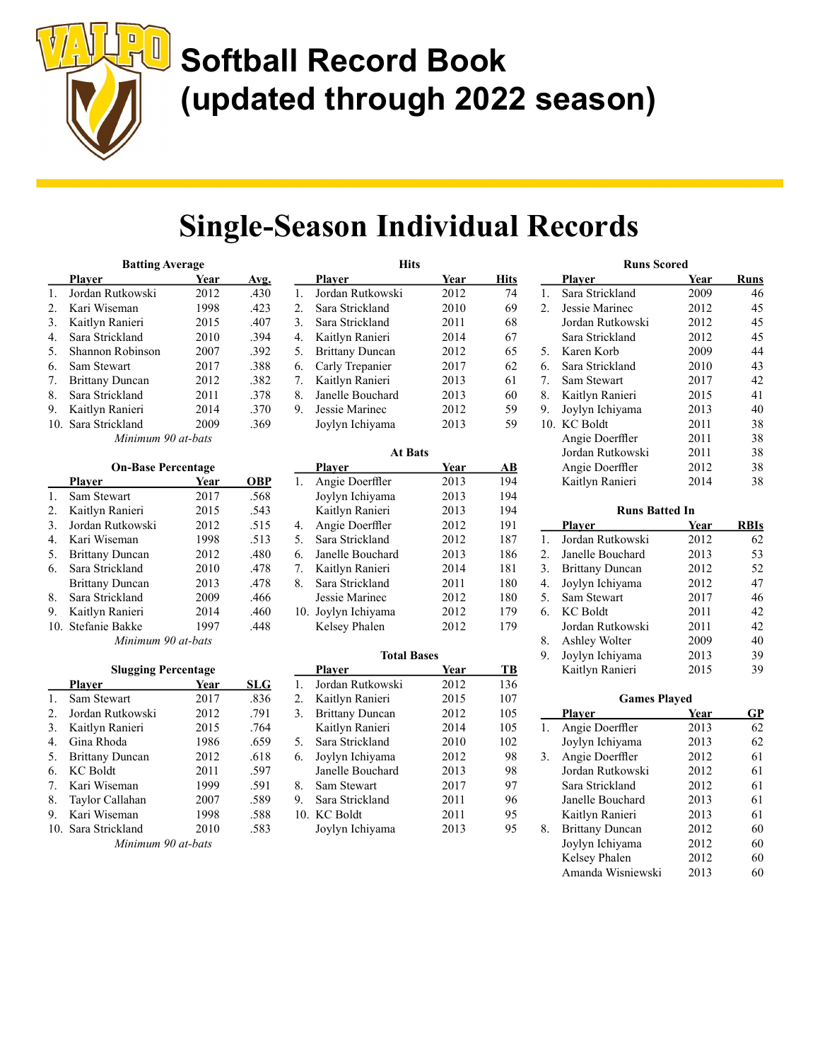

### Single-Season Individual Records

Hits

| <b>Batting Average</b> |                        |      |             |
|------------------------|------------------------|------|-------------|
|                        | Plaver                 | Year | <u>Avg.</u> |
| $1_{-}$                | Jordan Rutkowski       | 2012 | .430        |
| 2.                     | Kari Wiseman           | 1998 | .423        |
| 3.                     | Kaitlyn Ranieri        | 2015 | .407        |
| 4.                     | Sara Strickland        | 2010 | .394        |
| 5.                     | Shannon Robinson       | 2007 | .392        |
| 6.                     | Sam Stewart            | 2017 | .388        |
| 7.                     | <b>Brittany Duncan</b> | 2012 | .382        |
| 8.                     | Sara Strickland        | 2011 | .378        |
| 9.                     | Kaitlyn Ranieri        | 2014 | .370        |
|                        | 10. Sara Strickland    | 2009 | .369        |
|                        | Minimum 90 at-bats     |      |             |

| <b>On-Base Percentage</b> |                        |      |            |
|---------------------------|------------------------|------|------------|
|                           | Plaver                 | Year | <b>OBP</b> |
| 1.                        | Sam Stewart            | 2017 | .568       |
| 2.                        | Kaitlyn Ranieri        | 2015 | .543       |
| 3.                        | Jordan Rutkowski       | 2012 | .515       |
| 4.                        | Kari Wiseman           | 1998 | .513       |
| 5.                        | <b>Brittany Duncan</b> | 2012 | .480       |
| 6.                        | Sara Strickland        | 2010 | .478       |
|                           | <b>Brittany Duncan</b> | 2013 | .478       |
| 8.                        | Sara Strickland        | 2009 | .466       |
| 9.                        | Kaitlyn Ranieri        | 2014 | .460       |
|                           | 10. Stefanie Bakke     | 1997 | .448       |
| Minimum 90 at-bats        |                        |      |            |

| <b>Slugging Percentage</b> |                        |      |      |
|----------------------------|------------------------|------|------|
|                            | Plaver                 | Year | SLG  |
| 1.                         | Sam Stewart            | 2017 | .836 |
| 2.                         | Jordan Rutkowski       | 2012 | .791 |
| 3.                         | Kaitlyn Ranieri        | 2015 | .764 |
| 4.                         | Gina Rhoda             | 1986 | .659 |
| 5.                         | <b>Brittany Duncan</b> | 2012 | .618 |
| 6.                         | <b>KC</b> Boldt        | 2011 | .597 |
| 7.                         | Kari Wiseman           | 1999 | .591 |
| 8.                         | Taylor Callahan        | 2007 | .589 |
| 9.                         | Kari Wiseman           | 1998 | .588 |
|                            | 10. Sara Strickland    | 2010 | .583 |
| Minimum 90 at-bats         |                        |      |      |

|    | Plaver                 | Year | Hits |
|----|------------------------|------|------|
| 1. | Jordan Rutkowski       | 2012 | 74   |
| 2. | Sara Strickland        | 2010 | 69   |
| 3. | Sara Strickland        | 2011 | 68   |
| 4. | Kaitlyn Ranieri        | 2014 | 67   |
| 5. | <b>Brittany Duncan</b> | 2012 | 65   |
| 6. | Carly Trepanier        | 2017 | 62   |
| 7. | Kaitlyn Ranieri        | 2013 | 61   |
| 8. | Janelle Bouchard       | 2013 | 60   |
| 9. | Jessie Marinec         | 2012 | 59   |
|    | Joylyn Ichiyama        | 2013 | 59   |

| <b>At Bats</b> |                     |      |     |
|----------------|---------------------|------|-----|
|                | <b>Plaver</b>       | Year | AВ  |
| 1.             | Angie Doerffler     | 2013 | 194 |
|                | Joylyn Ichiyama     | 2013 | 194 |
|                | Kaitlyn Ranieri     | 2013 | 194 |
| 4.             | Angie Doerffler     | 2012 | 191 |
| 5.             | Sara Strickland     | 2012 | 187 |
| 6.             | Janelle Bouchard    | 2013 | 186 |
| 7.             | Kaitlyn Ranieri     | 2014 | 181 |
| 8.             | Sara Strickland     | 2011 | 180 |
|                | Jessie Marinec      | 2012 | 180 |
|                | 10. Joylyn Ichiyama | 2012 | 179 |
|                | Kelsey Phalen       | 2012 | 179 |

| TUTAI DASCS |                        |      |     |
|-------------|------------------------|------|-----|
|             | Plaver                 | Year | TВ  |
| 1.          | Jordan Rutkowski       | 2012 | 136 |
| 2.          | Kaitlyn Ranieri        | 2015 | 107 |
| 3.          | <b>Brittany Duncan</b> | 2012 | 105 |
|             | Kaitlyn Ranieri        | 2014 | 105 |
| 5.          | Sara Strickland        | 2010 | 102 |
| 6.          | Joylyn Ichiyama        | 2012 | 98  |
|             | Janelle Bouchard       | 2013 | 98  |
| 8.          | Sam Stewart            | 2017 | 97  |
| 9.          | Sara Strickland        | 2011 | 96  |
|             | 10. KC Boldt           | 2011 | 95  |
|             | Joylyn Ichiyama        | 2013 | 95  |
|             |                        |      |     |

Total Bases

|     | <b>Runs Scored</b>     |             |             |  |
|-----|------------------------|-------------|-------------|--|
|     | Player                 | <u>Year</u> | <b>Runs</b> |  |
| 1.  | Sara Strickland        | 2009        | 46          |  |
| 2.  | Jessie Marinec         | 2012        | 45          |  |
|     | Jordan Rutkowski       | 2012        | 45          |  |
|     | Sara Strickland        | 2012        | 45          |  |
| 5.  | Karen Korb             | 2009        | 44          |  |
| 6.  | Sara Strickland        | 2010        | 43          |  |
| 7.  | Sam Stewart            | 2017        | 42          |  |
| 8.  | Kaitlyn Ranieri        | 2015        | 41          |  |
| 9.  | Joylyn Ichiyama        | 2013        | 40          |  |
| 10. | <b>KC</b> Boldt        | 2011        | 38          |  |
|     | Angie Doerffler        | 2011        | 38          |  |
|     | Jordan Rutkowski       | 2011        | 38          |  |
|     | Angie Doerffler        | 2012        | 38          |  |
|     | Kaitlyn Ranieri        | 2014        | 38          |  |
|     | <b>Runs Batted In</b>  |             |             |  |
|     | <b>Player</b>          | Year        | <b>RBIs</b> |  |
| 1.  | Jordan Rutkowski       | 2012        | 62          |  |
|     |                        |             |             |  |
|     |                        |             |             |  |
| 2.  | Janelle Bouchard       | 2013        | 53          |  |
| 3.  | <b>Brittany Duncan</b> | 2012        | 52          |  |
| 4.  | Joylyn Ichiyama        | 2012        | 47          |  |
| 5.  | Sam Stewart            | 2017        | 46          |  |
| 6.  | <b>KC</b> Boldt        | 2011        | 42          |  |
|     | Jordan Rutkowski       | 2011        | 42          |  |
| 8.  | Ashley Wolter          | 2009        | 40          |  |
| 9.  | Joylyn Ichiyama        | 2013        | 39          |  |
|     | Kaitlyn Ranieri        | 2015        | 39          |  |
|     | <b>Games Played</b>    |             |             |  |
|     | <b>Player</b>          | Year        | GP          |  |
| 1.  | Angie Doerffler        | 2013        | 62          |  |
|     | Joylyn Ichiyama        | 2013        | 62          |  |

 Jordan Rutkowski 2012 61 Sara Strickland 2012 61 Janelle Bouchard 2013 61 Kaitlyn Ranieri 2013 61<br>Brittany Duncan 2012 60

 Joylyn Ichiyama 2012 60 Kelsey Phalen 2012 60 Amanda Wisniewski 2013 60

8. Brittany Duncan 2012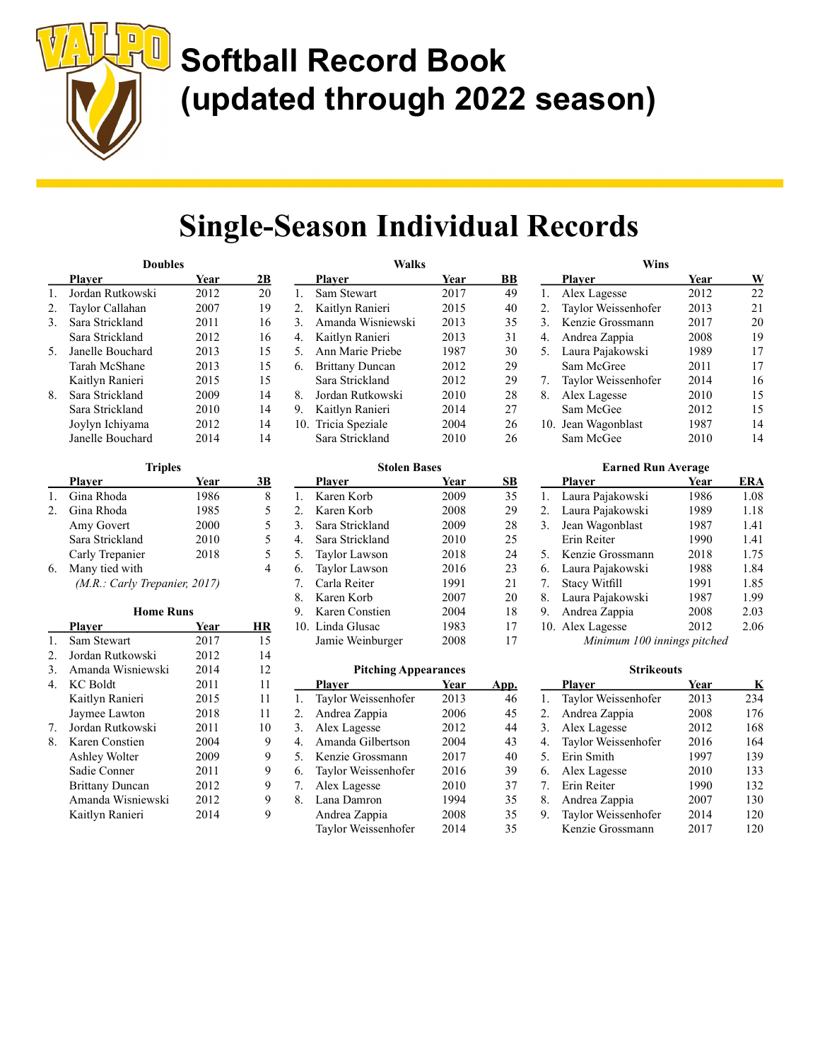

### Single-Season Individual Records

| <b>Doubles</b> |                  |      |    |
|----------------|------------------|------|----|
|                | <b>Player</b>    | Year | 2В |
| 1.             | Jordan Rutkowski | 2012 | 20 |
| 2.             | Taylor Callahan  | 2007 | 19 |
| 3.             | Sara Strickland  | 2011 | 16 |
|                | Sara Strickland  | 2012 | 16 |
| 5.             | Janelle Bouchard | 2013 | 15 |
|                | Tarah McShane    | 2013 | 15 |
|                | Kaitlyn Ranieri  | 2015 | 15 |
| 8.             | Sara Strickland  | 2009 | 14 |
|                | Sara Strickland  | 2010 | 14 |
|                | Joylyn Ichiyama  | 2012 | 14 |
|                | Janelle Bouchard | 2014 | 14 |

| <b>Triples</b> |                               |      |    |
|----------------|-------------------------------|------|----|
|                | Plaver                        | Year | 3B |
|                | Gina Rhoda                    | 1986 |    |
| 2.             | Gina Rhoda                    | 1985 | 5  |
|                | Amy Govert                    | 2000 | 5  |
|                | Sara Strickland               | 2010 | 5  |
|                | Carly Trepanier               | 2018 | 5  |
| 6.             | Many tied with                |      |    |
|                | (M.R.: Carly Trepanier, 2017) |      |    |

| <b>Home Runs</b> |                        |      |    |
|------------------|------------------------|------|----|
|                  | Plaver                 | Year | НR |
| 1.               | Sam Stewart            | 2017 | 15 |
| 2.               | Jordan Rutkowski       | 2012 | 14 |
| 3.               | Amanda Wisniewski      | 2014 | 12 |
| 4.               | KC Boldt               | 2011 | 11 |
|                  | Kaitlyn Ranieri        | 2015 | 11 |
|                  | Jaymee Lawton          | 2018 | 11 |
| 7.               | Jordan Rutkowski       | 2011 | 10 |
| 8.               | Karen Constien         | 2004 | 9  |
|                  | Ashley Wolter          | 2009 | 9  |
|                  | Sadie Conner           | 2011 | 9  |
|                  | <b>Brittany Duncan</b> | 2012 | 9  |
|                  | Amanda Wisniewski      | 2012 | 9  |
|                  | Kaitlyn Ranieri        | 2014 | 9  |

| Walks |                        |      |    |
|-------|------------------------|------|----|
|       | Plaver                 | Year | BВ |
| 1.    | Sam Stewart            | 2017 | 49 |
| 2.    | Kaitlyn Ranieri        | 2015 | 40 |
| 3.    | Amanda Wisniewski      | 2013 | 35 |
| 4.    | Kaitlyn Ranieri        | 2013 | 31 |
| 5.    | Ann Marie Priebe       | 1987 | 30 |
| 6.    | <b>Brittany Duncan</b> | 2012 | 29 |
|       | Sara Strickland        | 2012 | 29 |
| 8.    | Jordan Rutkowski       | 2010 | 28 |
| 9.    | Kaitlyn Ranieri        | 2014 | 27 |
|       | 10. Tricia Speziale    | 2004 | 26 |
|       | Sara Strickland        | 2010 | 26 |

#### Stolen Bases

|    | <b>Player</b>    | Year | SВ |
|----|------------------|------|----|
| 1. | Karen Korb       | 2009 | 35 |
| 2. | Karen Korb       | 2008 | 29 |
| 3. | Sara Strickland  | 2009 | 28 |
| 4. | Sara Strickland  | 2010 | 25 |
| 5. | Taylor Lawson    | 2018 | 24 |
| 6. | Taylor Lawson    | 2016 | 23 |
| 7. | Carla Reiter     | 1991 | 21 |
| 8. | Karen Korb       | 2007 | 20 |
| 9. | Karen Constien   | 2004 | 18 |
|    | 10. Linda Glusac | 1983 | 17 |
|    | Jamie Weinburger | 2008 | 17 |

#### Pitching Appearances

|    | Plaver              | Year | App. |
|----|---------------------|------|------|
| 1. | Taylor Weissenhofer | 2013 | 46   |
| 2. | Andrea Zappia       | 2006 | 45   |
| 3. | Alex Lagesse        | 2012 | 44   |
| 4. | Amanda Gilbertson   | 2004 | 43   |
| 5. | Kenzie Grossmann    | 2017 | 40   |
| 6. | Taylor Weissenhofer | 2016 | 39   |
| 7. | Alex Lagesse        | 2010 | 37   |
| 8. | Lana Damron         | 1994 | 35   |
|    | Andrea Zappia       | 2008 | 35   |
|    | Taylor Weissenhofer | 2014 | 35   |
|    |                     |      |      |

|    | Wins                |      |    |
|----|---------------------|------|----|
|    | <b>Player</b>       | Year | W  |
| 1. | Alex Lagesse        | 2012 | 22 |
| 2. | Taylor Weissenhofer | 2013 | 21 |
| 3. | Kenzie Grossmann    | 2017 | 20 |
| 4. | Andrea Zappia       | 2008 | 19 |
| 5. | Laura Pajakowski    | 1989 | 17 |
|    | Sam McGree          | 2011 | 17 |
| 7. | Taylor Weissenhofer | 2014 | 16 |
| 8. | Alex Lagesse        | 2010 | 15 |
|    | Sam McGee           | 2012 | 15 |
|    | 10. Jean Wagonblast | 1987 | 14 |
|    | Sam McGee           | 2010 | 14 |

#### Earned Run Average Player Year ERA 1. Laura Pajakowski 1986 1.08 2. Laura Pajakowski 1989 1.18 3. Jean Wagonblast 1987 1.41 Erin Reiter 1990 1.41 5. Kenzie Grossmann 2018 1.75 6. Laura Pajakowski 1988 1.84 7. Stacy Witfill 1991 1.85 8. Laura Pajakowski 1987 1.99 9. Andrea Zappia 2008 2.03 10. Alex Lagesse 2012 2.06 Minimum 100 innings pitched

|    | <b>Strikeouts</b>   |      |     |  |  |  |  |  |
|----|---------------------|------|-----|--|--|--|--|--|
|    | Plaver              | Year | K   |  |  |  |  |  |
| 1. | Taylor Weissenhofer | 2013 | 234 |  |  |  |  |  |
| 2. | Andrea Zappia       | 2008 | 176 |  |  |  |  |  |
| 3. | Alex Lagesse        | 2012 | 168 |  |  |  |  |  |
| 4. | Taylor Weissenhofer | 2016 | 164 |  |  |  |  |  |
| 5. | Erin Smith          | 1997 | 139 |  |  |  |  |  |
| 6. | Alex Lagesse        | 2010 | 133 |  |  |  |  |  |
| 7. | Erin Reiter         | 1990 | 132 |  |  |  |  |  |
| 8. | Andrea Zappia       | 2007 | 130 |  |  |  |  |  |
| 9. | Taylor Weissenhofer | 2014 | 120 |  |  |  |  |  |
|    | Kenzie Grossmann    | 2017 | 120 |  |  |  |  |  |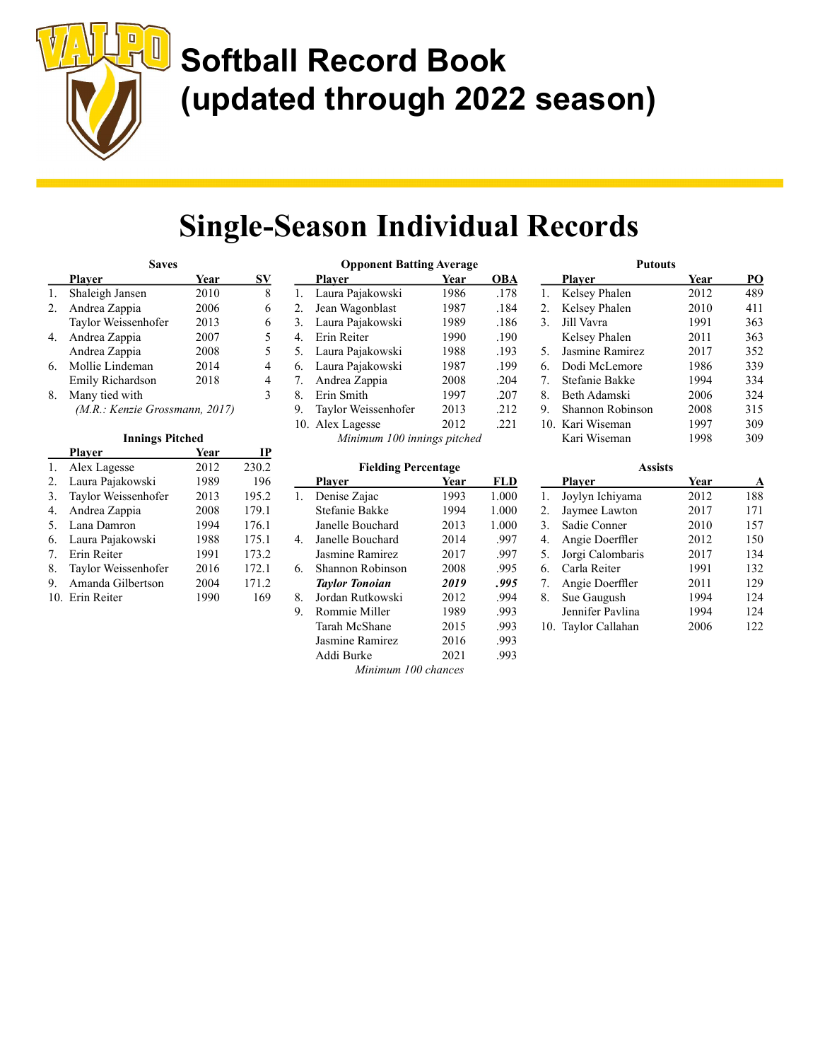

### Single-Season Individual Records

|    | <b>Saves</b>                   |      |    |
|----|--------------------------------|------|----|
|    | Plaver                         | Year | SV |
| 1. | Shaleigh Jansen                | 2010 |    |
| 2. | Andrea Zappia                  | 2006 |    |
|    | Taylor Weissenhofer            | 2013 | 6  |
| 4. | Andrea Zappia                  | 2007 | 5  |
|    | Andrea Zappia                  | 2008 | 5  |
| 6. | Mollie Lindeman                | 2014 |    |
|    | Emily Richardson               | 2018 | 4  |
| 8. | Many tied with                 |      | 3  |
|    | (M.R.: Kenzie Grossmann, 2017) |      |    |

#### Innings Pitched

|     | Plaver              | Year | IP    |
|-----|---------------------|------|-------|
| 1.  | Alex Lagesse        | 2012 | 230.2 |
| 2.  | Laura Pajakowski    | 1989 | 196   |
| 3.  | Taylor Weissenhofer | 2013 | 195.2 |
| 4.  | Andrea Zappia       | 2008 | 179.1 |
| .5. | Lana Damron         | 1994 | 176.1 |
| 6.  | Laura Pajakowski    | 1988 | 175.1 |
| 7.  | Erin Reiter         | 1991 | 173.2 |
| 8.  | Taylor Weissenhofer | 2016 | 172.1 |
| 9.  | Amanda Gilbertson   | 2004 | 171.2 |
|     | 10. Erin Reiter     | 1990 | 169   |

| <b>Opponent Batting Average</b> |                             |      |      |  |  |  |  |
|---------------------------------|-----------------------------|------|------|--|--|--|--|
|                                 | <b>Player</b>               | Year | OBA  |  |  |  |  |
| 1.                              | Laura Pajakowski            | 1986 | .178 |  |  |  |  |
| 2.                              | Jean Wagonblast             | 1987 | .184 |  |  |  |  |
| 3.                              | Laura Pajakowski            | 1989 | .186 |  |  |  |  |
| 4.                              | Erin Reiter                 | 1990 | .190 |  |  |  |  |
| 5.                              | Laura Pajakowski            | 1988 | .193 |  |  |  |  |
| 6.                              | Laura Pajakowski            | 1987 | .199 |  |  |  |  |
| 7.                              | Andrea Zappia               | 2008 | .204 |  |  |  |  |
| 8.                              | Erin Smith                  | 1997 | .207 |  |  |  |  |
| 9.                              | Taylor Weissenhofer         | 2013 | .212 |  |  |  |  |
|                                 | 10. Alex Lagesse            | 2012 | .221 |  |  |  |  |
|                                 | Minimum 100 innings pitched |      |      |  |  |  |  |

|  | <b>Fielding Percentage</b> |
|--|----------------------------|
|--|----------------------------|

| Plaver                | Year | FLD   |
|-----------------------|------|-------|
| Denise Zajac          | 1993 | 1.000 |
| Stefanie Bakke        | 1994 | 1.000 |
| Janelle Bouchard      | 2013 | 1.000 |
| Janelle Bouchard      | 2014 | .997  |
| Jasmine Ramirez       | 2017 | .997  |
| Shannon Robinson      | 2008 | .995  |
| <b>Taylor Tonoian</b> | 2019 | .995  |
| Jordan Rutkowski      | 2012 | .994  |
| Rommie Miller         | 1989 | .993  |
| Tarah McShane         | 2015 | .993  |
| Jasmine Ramirez       | 2016 | .993  |
| Addi Burke            | 2021 | .993  |
|                       |      |       |

|    | <b>Putouts</b>   |      |                 |
|----|------------------|------|-----------------|
|    | <b>Player</b>    | Year | $\overline{PQ}$ |
| 1. | Kelsey Phalen    | 2012 | 489             |
| 2. | Kelsey Phalen    | 2010 | 411             |
| 3. | Jill Vavra       | 1991 | 363             |
|    | Kelsey Phalen    | 2011 | 363             |
| 5. | Jasmine Ramirez  | 2017 | 352             |
| 6. | Dodi McLemore    | 1986 | 339             |
| 7. | Stefanie Bakke   | 1994 | 334             |
| 8. | Beth Adamski     | 2006 | 324             |
| 9. | Shannon Robinson | 2008 | 315             |
|    | 10. Kari Wiseman | 1997 | 309             |
|    | Kari Wiseman     | 1998 | 309             |

|    | Assists          |      |     |  |  |  |  |  |
|----|------------------|------|-----|--|--|--|--|--|
|    | Plaver           | Year | A   |  |  |  |  |  |
| 1. | Joylyn Ichiyama  | 2012 | 188 |  |  |  |  |  |
| 2. | Jaymee Lawton    | 2017 | 171 |  |  |  |  |  |
| 3. | Sadie Conner     | 2010 | 157 |  |  |  |  |  |
| 4. | Angie Doerffler  | 2012 | 150 |  |  |  |  |  |
| 5. | Jorgi Calombaris | 2017 | 134 |  |  |  |  |  |
| 6. | Carla Reiter     | 1991 | 132 |  |  |  |  |  |
| 7. | Angie Doerffler  | 2011 | 129 |  |  |  |  |  |
| 8. | Sue Gaugush      | 1994 | 124 |  |  |  |  |  |
|    | Jennifer Pavlina | 1994 | 124 |  |  |  |  |  |
|    | Taylor Callahan  | 2006 | 122 |  |  |  |  |  |

Minimum 100 chances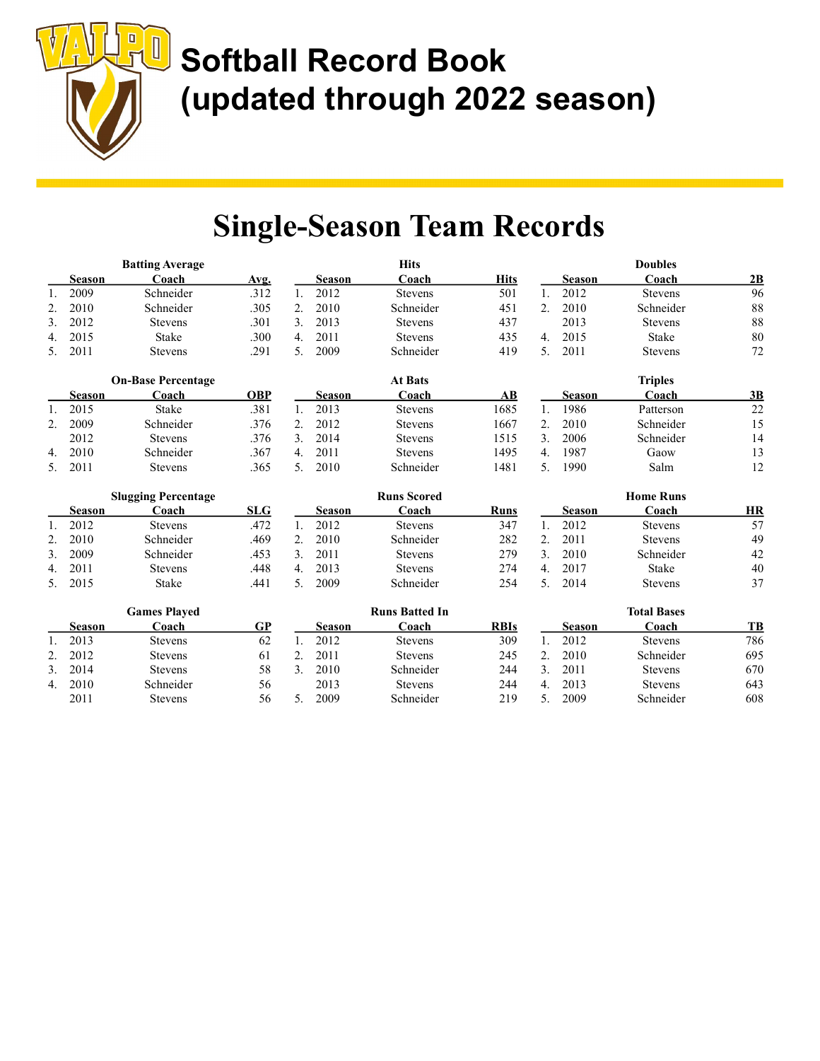

### Single-Season Team Records

|               |               | <b>Batting Average</b>    |            |               |               | <b>Hits</b>    |      |    |               | <b>Doubles</b> |    |
|---------------|---------------|---------------------------|------------|---------------|---------------|----------------|------|----|---------------|----------------|----|
|               | <b>Season</b> | Coach                     | Avg.       |               | <b>Season</b> | Coach          | Hits |    | <b>Season</b> | Coach          | 2B |
|               | 2009          | Schneider                 | .312       |               | 2012          | <b>Stevens</b> | 501  |    | 2012          | <b>Stevens</b> | 96 |
| 2.            | 2010          | Schneider                 | .305       | 2.            | 2010          | Schneider      | 451  | 2. | 2010          | Schneider      | 88 |
| 3.            | 2012          | <b>Stevens</b>            | .301       | 3.            | 2013          | <b>Stevens</b> | 437  |    | 2013          | <b>Stevens</b> | 88 |
| 4.            | 2015          | <b>Stake</b>              | .300       | 4.            | 2011          | <b>Stevens</b> | 435  | 4. | 2015          | <b>Stake</b>   | 80 |
| 5.            | 2011          | <b>Stevens</b>            | .291       | 5.            | 2009          | Schneider      | 419  | 5. | 2011          | <b>Stevens</b> | 72 |
|               |               | <b>On-Base Percentage</b> |            |               |               | <b>At Bats</b> |      |    |               | <b>Triples</b> |    |
|               | Season        | Coach                     | <b>OBP</b> |               | <b>Season</b> | Coach          | AВ   |    | <b>Season</b> | Coach          | 3B |
|               | 2015          | <b>Stake</b>              | .381       |               | 2013          | <b>Stevens</b> | 1685 |    | 1986          | Patterson      | 22 |
| $\mathcal{P}$ | 2009          | Schneider                 | .376       | $2_{1}$       | 2012          | Stevens        | 1667 | 2. | 2010          | Schneider      | 15 |
|               | 2012          | Stevens                   | .376       | $\mathcal{E}$ | 2014          | <b>Stevens</b> | 1515 | 3. | 2006          | Schneider      | 14 |
| 4.            | 2010          | Schneider                 | .367       | 4.            | 2011          | <b>Stevens</b> | 1495 | 4. | 1987          | Gaow           | 13 |
|               | 2011          | <b>Stevens</b>            | .365       | 5.            | 2010          | Schneider      | 1481 | 5. | 1990          | Salm           | 12 |
|               |               |                           |            |               |               |                |      |    |               |                |    |

|    |               | <b>Slugging Percentage</b> |            |    |        | Runs Scored    |      |               | <b>Home Runs</b> |    |
|----|---------------|----------------------------|------------|----|--------|----------------|------|---------------|------------------|----|
|    | <b>Season</b> | `oach                      | <b>SLG</b> |    | Season | ⊇oach          | Runs | <b>Season</b> | ∵oach            | HR |
|    | 2012          | Stevens                    | .472       |    | 2012   | Stevens        | 347  | 2012          | <b>Stevens</b>   | 57 |
|    | 2010          | Schneider                  | .469       |    | 2010   | Schneider      | 282  | 2011          | <b>Stevens</b>   | 49 |
|    | 2009          | Schneider                  | .453       |    | 2011   | <b>Stevens</b> | 279  | 2010          | Schneider        | 42 |
| 4. | 2011          | Stevens                    | .448       | 4. | 2013   | Stevens        | 274  | 2017          | Stake            | 40 |
|    | 2015          | Stake                      | .441       |    | 2009   | Schneider      | 254  | 2014          | <b>Stevens</b>   | 37 |

|    |        | <b>Games Plaved</b> |    |        | <b>Runs Batted In</b> |             |        | <b>Total Bases</b> |     |
|----|--------|---------------------|----|--------|-----------------------|-------------|--------|--------------------|-----|
|    | Season | ∑oach               | GP | Season | Coach                 | <b>RBIs</b> | Season | Coach              | TB  |
|    | 2013   | <b>Stevens</b>      | 62 | 2012   | Stevens               | 309         | 2012   | <b>Stevens</b>     | 786 |
|    | 2012   | <b>Stevens</b>      | 61 | 2011   | <b>Stevens</b>        | 245         | 2010   | Schneider          | 695 |
| 3. | 2014   | <b>Stevens</b>      | 58 | 2010   | Schneider             | 244         | 2011   | <b>Stevens</b>     | 670 |
| 4. | 2010   | Schneider           | 56 | 2013   | <b>Stevens</b>        | 244         | 2013   | <b>Stevens</b>     | 643 |
|    | 2011   | <b>Stevens</b>      | 56 | 2009   | Schneider             | 219         | 2009   | Schneider          | 608 |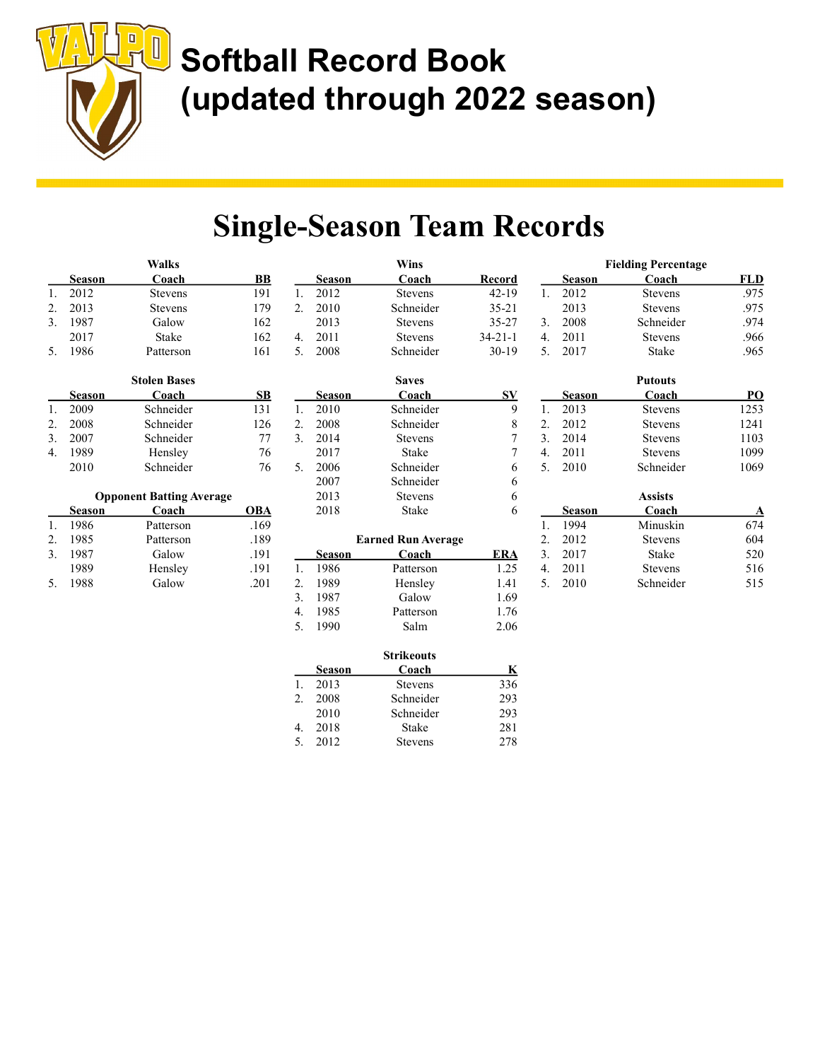

### Single-Season Team Records

|    |               | <b>Walks</b>                    |            |    |               | <b>Wins</b>               |                  |             |               | <b>Fielding Percentage</b> |             |
|----|---------------|---------------------------------|------------|----|---------------|---------------------------|------------------|-------------|---------------|----------------------------|-------------|
|    | <b>Season</b> | Coach                           | <b>BB</b>  |    | <b>Season</b> | Coach                     | Record           |             | <b>Season</b> | Coach                      | <b>FLD</b>  |
| 1. | 2012          | <b>Stevens</b>                  | 191        | 1. | 2012          | <b>Stevens</b>            | $42 - 19$        | $1_{\cdot}$ | 2012          | <b>Stevens</b>             | .975        |
| 2. | 2013          | <b>Stevens</b>                  | 179        | 2. | 2010          | Schneider                 | $35 - 21$        |             | 2013          | <b>Stevens</b>             | .975        |
| 3. | 1987          | Galow                           | 162        |    | 2013          | <b>Stevens</b>            | $35 - 27$        | 3.          | 2008          | Schneider                  | .974        |
|    | 2017          | Stake                           | 162        | 4. | 2011          | <b>Stevens</b>            | $34 - 21 - 1$    | 4.          | 2011          | Stevens                    | .966        |
| 5. | 1986          | Patterson                       | 161        | 5. | 2008          | Schneider                 | $30-19$          | 5.          | 2017          | <b>Stake</b>               | .965        |
|    |               | <b>Stolen Bases</b>             |            |    |               | <b>Saves</b>              |                  |             |               | <b>Putouts</b>             |             |
|    | <b>Season</b> | Coach                           | <b>SB</b>  |    | <b>Season</b> | Coach                     | $S_{\mathbf{V}}$ |             | <b>Season</b> | Coach                      | PO          |
| 1. | 2009          | Schneider                       | 131        | 1. | 2010          | Schneider                 | 9                | 1.          | 2013          | <b>Stevens</b>             | 1253        |
| 2. | 2008          | Schneider                       | 126        | 2. | 2008          | Schneider                 | 8                | 2.          | 2012          | <b>Stevens</b>             | 1241        |
| 3. | 2007          | Schneider                       | 77         | 3. | 2014          | <b>Stevens</b>            | 7                | 3.          | 2014          | <b>Stevens</b>             | 1103        |
| 4. | 1989          | Hensley                         | 76         |    | 2017          | <b>Stake</b>              | 7                | 4.          | 2011          | <b>Stevens</b>             | 1099        |
|    | 2010          | Schneider                       | 76         | 5. | 2006          | Schneider                 | 6                | 5.          | 2010          | Schneider                  | 1069        |
|    |               |                                 |            |    | 2007          | Schneider                 | 6                |             |               |                            |             |
|    |               | <b>Opponent Batting Average</b> |            |    | 2013          | <b>Stevens</b>            | 6                |             |               | <b>Assists</b>             |             |
|    | <b>Season</b> | Coach                           | <b>OBA</b> |    | 2018          | Stake                     | 6                |             | Season        | Coach                      | $\mathbf A$ |
| 1. | 1986          | Patterson                       | .169       |    |               |                           |                  | 1.          | 1994          | Minuskin                   | 674         |
| 2. | 1985          | Patterson                       | .189       |    |               | <b>Earned Run Average</b> |                  | 2.          | 2012          | <b>Stevens</b>             | 604         |
| 3. | 1987          | Galow                           | .191       |    | <b>Season</b> | Coach                     | <b>ERA</b>       | 3.          | 2017          | <b>Stake</b>               | 520         |
|    | 1989          | Hensley                         | .191       | 1. | 1986          | Patterson                 | 1.25             | 4.          | 2011          | Stevens                    | 516         |
| 5. | 1988          | Galow                           | .201       | 2. | 1989          | Hensley                   | 1.41             | 5.          | 2010          | Schneider                  | 515         |
|    |               |                                 |            | 3. | 1987          | Galow                     | 1.69             |             |               |                            |             |
|    |               |                                 |            | 4. | 1985          | Patterson                 | 1.76             |             |               |                            |             |
|    |               |                                 |            | 5. | 1990          | Salm                      | 2.06             |             |               |                            |             |
|    |               |                                 |            |    |               | <b>Strikeouts</b>         |                  |             |               |                            |             |
|    |               |                                 |            |    | $\sim$        |                           |                  |             |               |                            |             |

|               | <b>Strikeouts</b> |                |     |  |  |
|---------------|-------------------|----------------|-----|--|--|
|               | Season            | Coach          | K   |  |  |
|               | 2013              | <b>Stevens</b> | 336 |  |  |
| $\mathcal{P}$ | 2008              | Schneider      | 293 |  |  |
|               | 2010              | Schneider      | 293 |  |  |
| 4.            | 2018              | Stake          | 281 |  |  |
|               | 2012              | <b>Stevens</b> | 278 |  |  |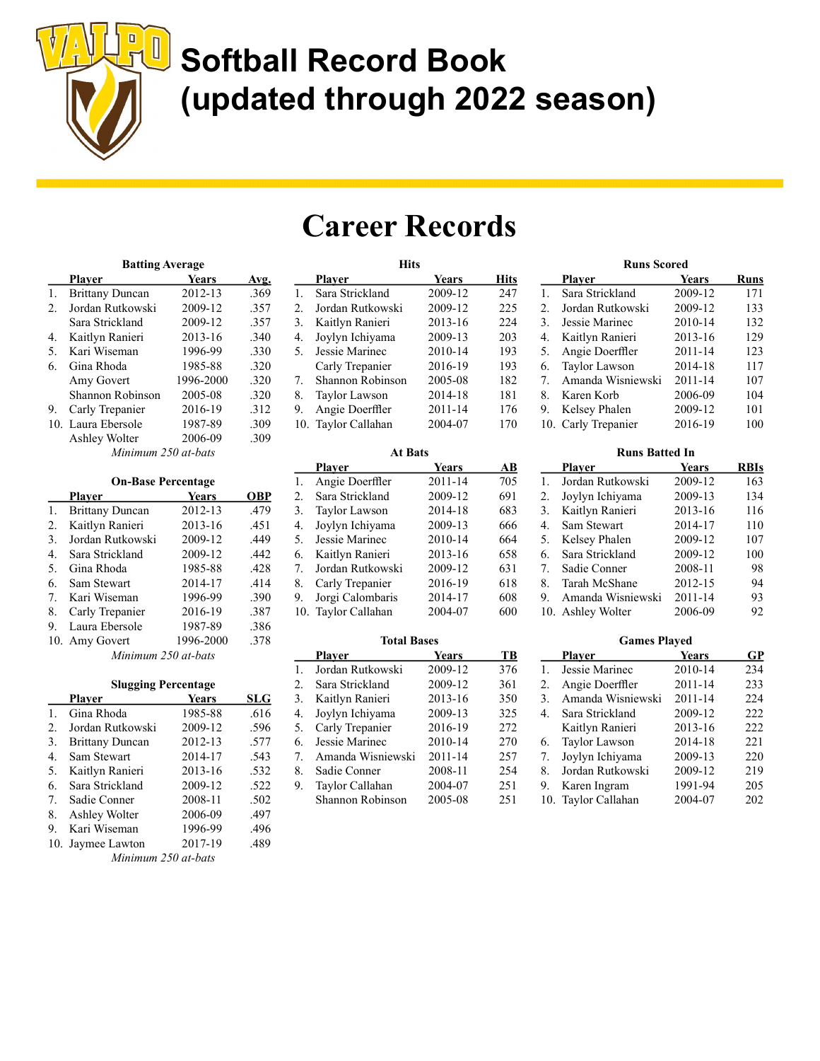

### Career Records

|                | <b>Batting Average</b> |           |      |  |  |
|----------------|------------------------|-----------|------|--|--|
|                | Plaver                 | Years     | Avg. |  |  |
| $\mathbf{1}$ . | <b>Brittany Duncan</b> | 2012-13   | .369 |  |  |
| 2.             | Jordan Rutkowski       | 2009-12   | .357 |  |  |
|                | Sara Strickland        | 2009-12   | .357 |  |  |
| 4.             | Kaitlyn Ranieri        | 2013-16   | .340 |  |  |
| 5.             | Kari Wiseman           | 1996-99   | .330 |  |  |
| 6.             | Gina Rhoda             | 1985-88   | .320 |  |  |
|                | Amy Govert             | 1996-2000 | .320 |  |  |
|                | Shannon Robinson       | 2005-08   | .320 |  |  |
| 9.             | Carly Trepanier        | 2016-19   | .312 |  |  |
|                | 10. Laura Ebersole     | 1987-89   | .309 |  |  |
|                | Ashley Wolter          | 2006-09   | .309 |  |  |
|                | Minimum 250 at-bats    |           |      |  |  |

|    | <b>On-Base Percentage</b> |           |      |  |  |  |
|----|---------------------------|-----------|------|--|--|--|
|    | Plaver                    | Years     | OBP  |  |  |  |
| 1. | <b>Brittany Duncan</b>    | 2012-13   | .479 |  |  |  |
| 2. | Kaitlyn Ranieri           | 2013-16   | .451 |  |  |  |
| 3. | Jordan Rutkowski          | 2009-12   | .449 |  |  |  |
| 4. | Sara Strickland           | 2009-12   | .442 |  |  |  |
| 5. | Gina Rhoda                | 1985-88   | .428 |  |  |  |
| 6. | Sam Stewart               | 2014-17   | .414 |  |  |  |
| 7. | Kari Wiseman              | 1996-99   | .390 |  |  |  |
| 8. | Carly Trepanier           | 2016-19   | .387 |  |  |  |
| 9. | Laura Ebersole            | 1987-89   | .386 |  |  |  |
|    | 10. Amy Govert            | 1996-2000 | .378 |  |  |  |
|    | Minimum 250 at-bats       |           |      |  |  |  |

|             | <b>Slugging Percentage</b> |         |      |  |  |
|-------------|----------------------------|---------|------|--|--|
|             | <b>Plaver</b>              | Years   | SLG  |  |  |
| 1.          | Gina Rhoda                 | 1985-88 | .616 |  |  |
| 2.          | Jordan Rutkowski           | 2009-12 | .596 |  |  |
| 3.          | <b>Brittany Duncan</b>     | 2012-13 | .577 |  |  |
| 4.          | Sam Stewart                | 2014-17 | .543 |  |  |
| 5.          | Kaitlyn Ranieri            | 2013-16 | .532 |  |  |
| 6.          | Sara Strickland            | 2009-12 | .522 |  |  |
| $7_{\cdot}$ | Sadie Conner               | 2008-11 | .502 |  |  |
| 8.          | Ashley Wolter              | 2006-09 | .497 |  |  |
| 9.          | Kari Wiseman               | 1996-99 | .496 |  |  |
|             | 10. Jaymee Lawton          | 2017-19 | .489 |  |  |
|             | Minimum 250 at-bats        |         |      |  |  |

|    | <b>Hits</b>          |              |             |
|----|----------------------|--------------|-------------|
|    | Plaver               | <b>Years</b> | <b>Hits</b> |
| 1. | Sara Strickland      | 2009-12      | 247         |
| 2. | Jordan Rutkowski     | 2009-12      | 225         |
| 3. | Kaitlyn Ranieri      | 2013-16      | 224         |
| 4. | Joylyn Ichiyama      | 2009-13      | 203         |
| 5. | Jessie Marinec       | 2010-14      | 193         |
|    | Carly Trepanier      | 2016-19      | 193         |
| 7. | Shannon Robinson     | 2005-08      | 182         |
| 8. | <b>Taylor Lawson</b> | 2014-18      | 181         |
| 9. | Angie Doerffler      | 2011-14      | 176         |
|    | 10. Taylor Callahan  | 2004-07      | 170         |
|    |                      |              |             |

| <b>At Bats</b>       |              |     |  |  |
|----------------------|--------------|-----|--|--|
| Plaver               | <b>Years</b> | AВ  |  |  |
| Angie Doerffler      | 2011-14      | 705 |  |  |
| Sara Strickland      | 2009-12      | 691 |  |  |
| <b>Taylor Lawson</b> | 2014-18      | 683 |  |  |
| Joylyn Ichiyama      | 2009-13      | 666 |  |  |
| Jessie Marinec       | 2010-14      | 664 |  |  |
| Kaitlyn Ranieri      | 2013-16      | 658 |  |  |
| Jordan Rutkowski     | 2009-12      | 631 |  |  |
| Carly Trepanier      | 2016-19      | 618 |  |  |
| Jorgi Calombaris     | 2014-17      | 608 |  |  |
| Taylor Callahan      | 2004-07      | 600 |  |  |
|                      |              |     |  |  |

|    | <b>Total Bases</b> |              |     |  |  |
|----|--------------------|--------------|-----|--|--|
|    | Plaver             | <b>Years</b> | TB  |  |  |
| 1. | Jordan Rutkowski   | 2009-12      | 376 |  |  |
| 2. | Sara Strickland    | 2009-12      | 361 |  |  |
| 3. | Kaitlyn Ranieri    | 2013-16      | 350 |  |  |
| 4. | Joylyn Ichiyama    | 2009-13      | 325 |  |  |
| 5. | Carly Trepanier    | 2016-19      | 272 |  |  |
| 6. | Jessie Marinec     | 2010-14      | 270 |  |  |
| 7. | Amanda Wisniewski  | 2011-14      | 257 |  |  |
| 8. | Sadie Conner       | 2008-11      | 254 |  |  |
| 9. | Taylor Callahan    | 2004-07      | 251 |  |  |
|    | Shannon Robinson   | 2005-08      | 251 |  |  |

|                | <b>Runs Scored</b>   |         |      |  |  |  |
|----------------|----------------------|---------|------|--|--|--|
|                | <b>Player</b>        | Years   | Runs |  |  |  |
| $\mathbf{1}$ . | Sara Strickland      | 2009-12 | 171  |  |  |  |
| 2.             | Jordan Rutkowski     | 2009-12 | 133  |  |  |  |
| 3.             | Jessie Marinec       | 2010-14 | 132  |  |  |  |
| 4.             | Kaitlyn Ranieri      | 2013-16 | 129  |  |  |  |
| 5.             | Angie Doerffler      | 2011-14 | 123  |  |  |  |
| 6.             | <b>Taylor Lawson</b> | 2014-18 | 117  |  |  |  |
| $7_{\cdot}$    | Amanda Wisniewski    | 2011-14 | 107  |  |  |  |
| 8.             | Karen Korb           | 2006-09 | 104  |  |  |  |
| 9.             | Kelsey Phalen        | 2009-12 | 101  |  |  |  |
|                | 10. Carly Trepanier  | 2016-19 | 100  |  |  |  |

|                | <b>Runs Batted In</b> |              |             |  |  |
|----------------|-----------------------|--------------|-------------|--|--|
|                | Plaver                | <b>Years</b> | <b>RBIs</b> |  |  |
| $\mathbf{1}$ . | Jordan Rutkowski      | 2009-12      | 163         |  |  |
| 2.             | Joylyn Ichiyama       | 2009-13      | 134         |  |  |
| 3.             | Kaitlyn Ranieri       | 2013-16      | 116         |  |  |
| 4.             | Sam Stewart           | 2014-17      | 110         |  |  |
| 5.             | Kelsey Phalen         | 2009-12      | 107         |  |  |
| 6.             | Sara Strickland       | 2009-12      | 100         |  |  |
| $7_{\cdot}$    | Sadie Conner          | 2008-11      | 98          |  |  |
| 8.             | Tarah McShane         | 2012-15      | 94          |  |  |
| 9.             | Amanda Wisniewski     | 2011-14      | 93          |  |  |
|                | 10. Ashley Wolter     | 2006-09      | 92          |  |  |

|     | <b>Games Played</b>  |         |     |  |  |
|-----|----------------------|---------|-----|--|--|
|     | Plaver               | Years   | GP  |  |  |
| 1.  | Jessie Marinec       | 2010-14 | 234 |  |  |
| 2.  | Angie Doerffler      | 2011-14 | 233 |  |  |
| 3.  | Amanda Wisniewski    | 2011-14 | 224 |  |  |
| 4.  | Sara Strickland      | 2009-12 | 222 |  |  |
|     | Kaitlyn Ranieri      | 2013-16 | 222 |  |  |
| 6.  | <b>Taylor Lawson</b> | 2014-18 | 221 |  |  |
| 7.  | Joylyn Ichiyama      | 2009-13 | 220 |  |  |
| 8.  | Jordan Rutkowski     | 2009-12 | 219 |  |  |
| 9.  | Karen Ingram         | 1991-94 | 205 |  |  |
| 10. | Taylor Callahan      | 2004-07 | 202 |  |  |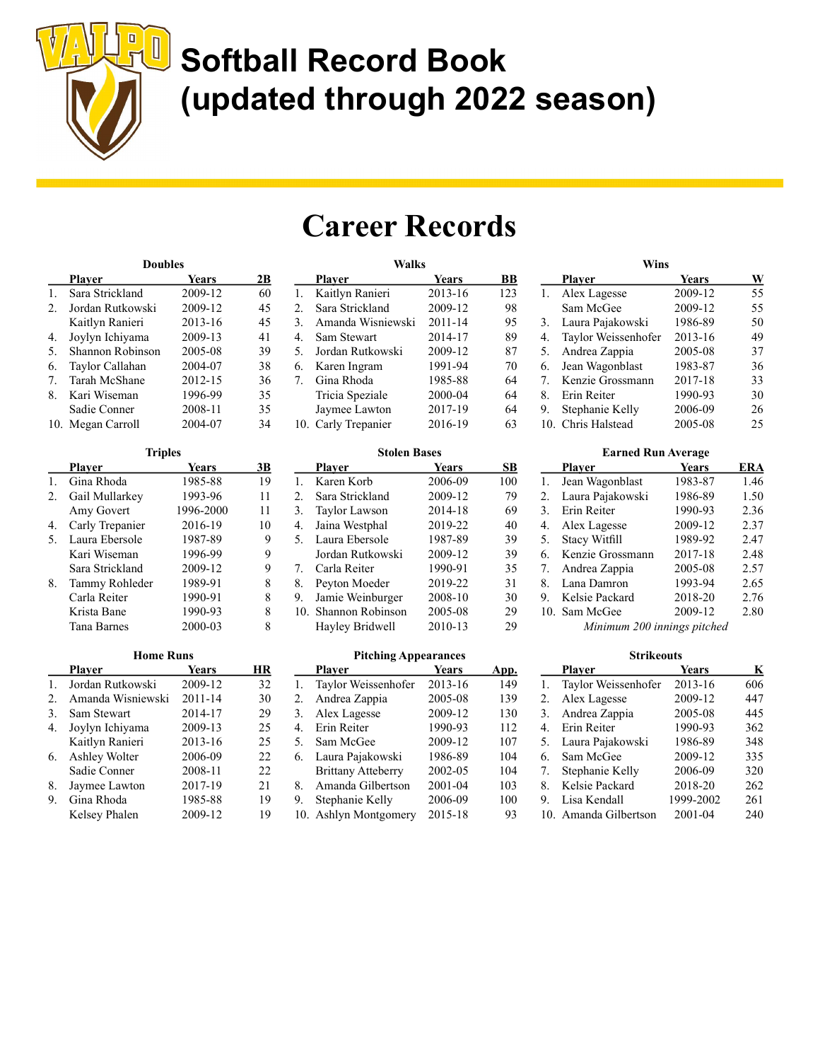

### Career Records

| <b>Doubles</b> |                   |         |    |
|----------------|-------------------|---------|----|
|                | Plaver            | Years   | 2В |
| 1.             | Sara Strickland   | 2009-12 | 60 |
| 2.             | Jordan Rutkowski  | 2009-12 | 45 |
|                | Kaitlyn Ranieri   | 2013-16 | 45 |
| 4.             | Joylyn Ichiyama   | 2009-13 | 41 |
| 5.             | Shannon Robinson  | 2005-08 | 39 |
| 6.             | Taylor Callahan   | 2004-07 | 38 |
| 7.             | Tarah McShane     | 2012-15 | 36 |
| 8.             | Kari Wiseman      | 1996-99 | 35 |
|                | Sadie Conner      | 2008-11 | 35 |
|                | 10. Megan Carroll | 2004-07 | 34 |

| <b>Triples</b>  |           |    |
|-----------------|-----------|----|
| Plaver          | Years     | 3В |
| Gina Rhoda      | 1985-88   | 19 |
| Gail Mullarkey  | 1993-96   | 11 |
| Amy Govert      | 1996-2000 | 11 |
| Carly Trepanier | 2016-19   | 10 |
| Laura Ebersole  | 1987-89   | 9  |
| Kari Wiseman    | 1996-99   | 9  |
| Sara Strickland | 2009-12   | 9  |
| Tammy Rohleder  | 1989-91   | 8  |
| Carla Reiter    | 1990-91   | 8  |
| Krista Bane     | 1990-93   | 8  |
| Tana Barnes     | 2000-03   |    |
|                 |           |    |

| <b>Home Runs</b> |                   |             |    |
|------------------|-------------------|-------------|----|
|                  | Plaver            | Years       | HR |
| $\mathbf{1}$     | Jordan Rutkowski  | 2009-12     | 32 |
| 2.               | Amanda Wisniewski | $2011 - 14$ | 30 |
| 3.               | Sam Stewart       | 2014-17     | 29 |
| 4.               | Joylyn Ichiyama   | 2009-13     | 25 |
|                  | Kaitlyn Ranieri   | 2013-16     | 25 |
| 6.               | Ashley Wolter     | 2006-09     | 22 |
|                  | Sadie Conner      | 2008-11     | 22 |
| 8.               | Jaymee Lawton     | 2017-19     | 21 |
| 9.               | Gina Rhoda        | 1985-88     | 19 |
|                  | Kelsey Phalen     | 2009-12     | 19 |

| Walks               |              |     |
|---------------------|--------------|-----|
| Plaver              | <b>Years</b> | BВ  |
| Kaitlyn Ranieri     | 2013-16      | 123 |
| Sara Strickland     | 2009-12      | 98  |
| Amanda Wisniewski   | 2011-14      | 95  |
| Sam Stewart         | 2014-17      | 89  |
| Jordan Rutkowski    | 2009-12      | 87  |
| Karen Ingram        | 1991-94      | 70  |
| Gina Rhoda          | 1985-88      | 64  |
| Tricia Speziale     | 2000-04      | 64  |
| Jaymee Lawton       | 2017-19      | 64  |
| 10. Carly Trepanier | 2016-19      | 63  |
|                     |              |     |

| <b>Stolen Bases</b> |                      |              |     |
|---------------------|----------------------|--------------|-----|
|                     | Plaver               | <b>Years</b> | SВ  |
| 1.                  | Karen Korb           | 2006-09      | 100 |
| 2.                  | Sara Strickland      | 2009-12      | 79  |
| 3.                  | Taylor Lawson        | 2014-18      | 69  |
| 4.                  | Jaina Westphal       | 2019-22      | 40  |
| 5.                  | Laura Ebersole       | 1987-89      | 39  |
|                     | Jordan Rutkowski     | 2009-12      | 39  |
| 7.                  | Carla Reiter         | 1990-91      | 35  |
| 8.                  | Peyton Moeder        | 2019-22      | 31  |
| 9.                  | Jamie Weinburger     | 2008-10      | 30  |
|                     | 10. Shannon Robinson | 2005-08      | 29  |
|                     | Hayley Bridwell      | 2010-13      | 29  |
|                     |                      |              |     |

#### Pitching Appearances

|    | Plaver                    | <b>Years</b> | App. |
|----|---------------------------|--------------|------|
| 1. | Taylor Weissenhofer       | 2013-16      | 149  |
| 2. | Andrea Zappia             | 2005-08      | 139  |
| 3. | Alex Lagesse              | 2009-12      | 130  |
| 4. | Erin Reiter               | 1990-93      | 112  |
| 5. | Sam McGee                 | 2009-12      | 107  |
| 6. | Laura Pajakowski          | 1986-89      | 104  |
|    | <b>Brittany Atteberry</b> | 2002-05      | 104  |
| 8. | Amanda Gilbertson         | 2001-04      | 103  |
| 9. | Stephanie Kelly           | 2006-09      | 100  |
|    | 10. Ashlyn Montgomery     | 2015-18      | 93   |

| Wins |                     |              |    |
|------|---------------------|--------------|----|
|      | Plaver              | <b>Years</b> | W  |
| 1.   | Alex Lagesse        | 2009-12      | 55 |
|      | Sam McGee           | 2009-12      | 55 |
| 3.   | Laura Pajakowski    | 1986-89      | 50 |
| 4.   | Taylor Weissenhofer | 2013-16      | 49 |
| 5.   | Andrea Zappia       | 2005-08      | 37 |
| 6.   | Jean Wagonblast     | 1983-87      | 36 |
| 7.   | Kenzie Grossmann    | 2017-18      | 33 |
| 8.   | Erin Reiter         | 1990-93      | 30 |
| 9.   | Stephanie Kelly     | 2006-09      | 26 |
| 10.  | Chris Halstead      | 2005-08      | 25 |

|    | <b>Earned Run Average</b> |              |      |
|----|---------------------------|--------------|------|
|    | <b>Player</b>             | <b>Years</b> | ERA  |
| 1. | Jean Wagonblast           | 1983-87      | 1.46 |
| 2. | Laura Pajakowski          | 1986-89      | 1.50 |
| 3. | Erin Reiter               | 1990-93      | 2.36 |
| 4. | Alex Lagesse              | 2009-12      | 2.37 |
| 5. | <b>Stacy Witfill</b>      | 1989-92      | 2.47 |
| 6. | Kenzie Grossmann          | 2017-18      | 2.48 |
| 7. | Andrea Zappia             | 2005-08      | 2.57 |
| 8. | Lana Damron               | 1993-94      | 2.65 |
| 9. | Kelsie Packard            | 2018-20      | 2.76 |
|    | 10. Sam McGee             | 2009-12      | 2.80 |
|    | 11200                     | . 1          |      |

Minimum 200 innings pitched

| Strikeouts |                     |           |     |
|------------|---------------------|-----------|-----|
|            | <b>Player</b>       | Years     | K   |
| 1.         | Taylor Weissenhofer | 2013-16   | 606 |
| 2.         | Alex Lagesse        | 2009-12   | 447 |
| 3.         | Andrea Zappia       | 2005-08   | 445 |
| 4.         | Erin Reiter         | 1990-93   | 362 |
| 5.         | Laura Pajakowski    | 1986-89   | 348 |
| 6.         | Sam McGee           | 2009-12   | 335 |
| 7.         | Stephanie Kelly     | 2006-09   | 320 |
| 8.         | Kelsie Packard      | 2018-20   | 262 |
| 9.         | Lisa Kendall        | 1999-2002 | 261 |
|            | Amanda Gilbertson   | 2001-04   | 240 |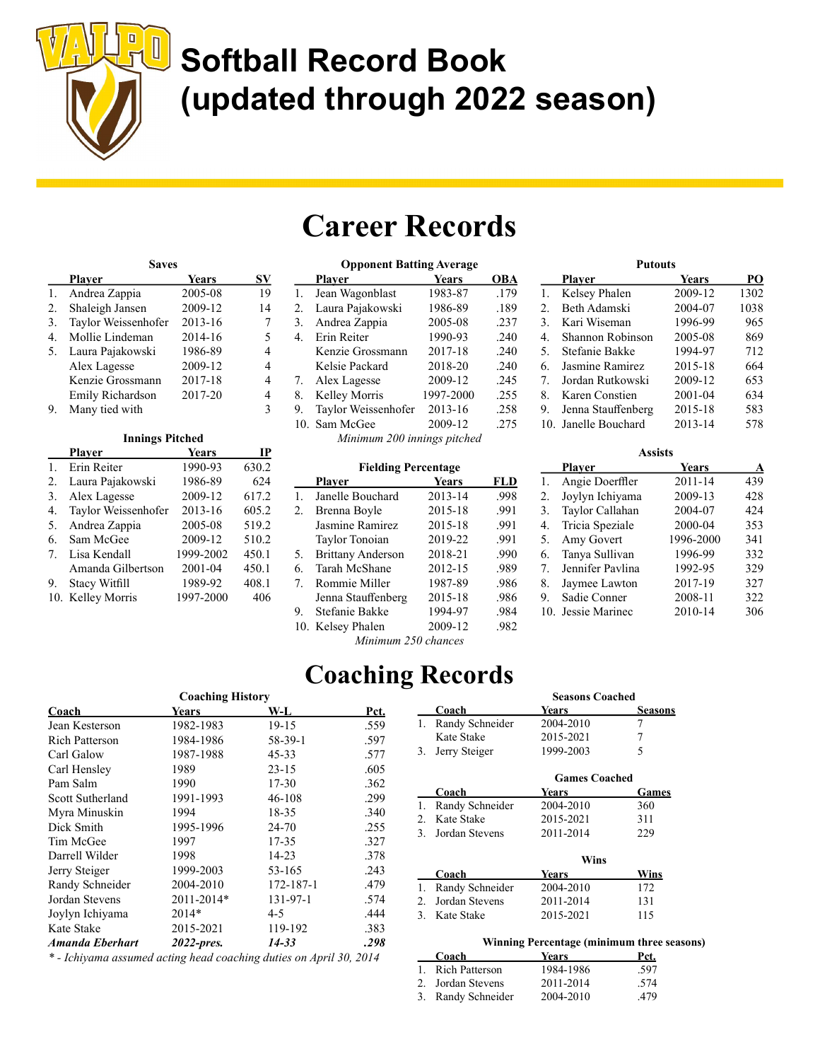

### Career Records

| <b>Saves</b> |                     |         |    |
|--------------|---------------------|---------|----|
|              | Plaver              | Years   | SV |
| 1.           | Andrea Zappia       | 2005-08 | 19 |
| 2.           | Shaleigh Jansen     | 2009-12 | 14 |
| 3.           | Taylor Weissenhofer | 2013-16 |    |
| 4.           | Mollie Lindeman     | 2014-16 | 5  |
| 5.           | Laura Pajakowski    | 1986-89 | 4  |
|              | Alex Lagesse        | 2009-12 | 4  |
|              | Kenzie Grossmann    | 2017-18 | 4  |
|              | Emily Richardson    | 2017-20 |    |
|              | Many tied with      |         | ੨  |

#### Innings Pitched

|    | Plaver               | <b>Years</b> | IP    |
|----|----------------------|--------------|-------|
| 1. | Erin Reiter          | 1990-93      | 630.2 |
| 2. | Laura Pajakowski     | 1986-89      | 624   |
| 3. | Alex Lagesse         | 2009-12      | 617.2 |
| 4. | Taylor Weissenhofer  | 2013-16      | 605.2 |
| 5. | Andrea Zappia        | 2005-08      | 519.2 |
| 6. | Sam McGee            | 2009-12      | 510.2 |
| 7. | Lisa Kendall         | 1999-2002    | 450.1 |
|    | Amanda Gilbertson    | 2001-04      | 450.1 |
| 9. | <b>Stacy Witfill</b> | 1989-92      | 408.1 |
|    | 10. Kelley Morris    | 1997-2000    | 406   |
|    |                      |              |       |

| <b>Opponent Batting Average</b> |                     |              |      |
|---------------------------------|---------------------|--------------|------|
|                                 | <b>Player</b>       | <b>Years</b> | OBA  |
| 1.                              | Jean Wagonblast     | 1983-87      | .179 |
| 2.                              | Laura Pajakowski    | 1986-89      | .189 |
| 3.                              | Andrea Zappia       | 2005-08      | .237 |
| 4.                              | Erin Reiter         | 1990-93      | .240 |
|                                 | Kenzie Grossmann    | 2017-18      | .240 |
|                                 | Kelsie Packard      | 2018-20      | .240 |
| 7.                              | Alex Lagesse        | 2009-12      | .245 |
| 8.                              | Kelley Morris       | 1997-2000    | .255 |
| 9.                              | Taylor Weissenhofer | 2013-16      | .258 |
| 10.                             | Sam McGee           | 2009-12      | .275 |
| Minimum 200 innings pitched     |                     |              |      |

|    | <b>Fielding Percentage</b> |         |            |  |
|----|----------------------------|---------|------------|--|
|    | <b>Player</b>              | Years   | <b>FLD</b> |  |
|    | Janelle Bouchard           | 2013-14 | .998       |  |
| 2. | Brenna Boyle               | 2015-18 | .991       |  |
|    | Jasmine Ramirez            | 2015-18 | .991       |  |
|    | Taylor Tonoian             | 2019-22 | .991       |  |

5. Brittany Anderson 2018-21 .990 6. Tarah McShane 2012-15 .989 7. Rommie Miller 1987-89 .986 Jenna Stauffenberg 2015-18 .986 9. Stefanie Bakke 1994-97 .984 10. Kelsey Phalen 2009-12 .982 Minimum 250 chances

|    | <b>Putouts</b>       |              |      |  |
|----|----------------------|--------------|------|--|
|    | Plaver               | <b>Years</b> | PО   |  |
| 1. | Kelsey Phalen        | 2009-12      | 1302 |  |
| 2. | Beth Adamski         | 2004-07      | 1038 |  |
| 3. | Kari Wiseman         | 1996-99      | 965  |  |
| 4. | Shannon Robinson     | 2005-08      | 869  |  |
| 5. | Stefanie Bakke       | 1994-97      | 712  |  |
| 6. | Jasmine Ramirez      | 2015-18      | 664  |  |
| 7. | Jordan Rutkowski     | 2009-12      | 653  |  |
| 8. | Karen Constien       | 2001-04      | 634  |  |
| 9. | Jenna Stauffenberg   | 2015-18      | 583  |  |
|    | 10. Janelle Bouchard | 2013-14      | 578  |  |

|    | <b>Assists</b>     |           |     |  |
|----|--------------------|-----------|-----|--|
|    | <b>Player</b>      | Years     | A   |  |
| 1. | Angie Doerffler    | 2011-14   | 439 |  |
| 2. | Joylyn Ichiyama    | 2009-13   | 428 |  |
| 3. | Taylor Callahan    | 2004-07   | 424 |  |
| 4. | Tricia Speziale    | 2000-04   | 353 |  |
| 5. | Amy Govert         | 1996-2000 | 341 |  |
| 6. | Tanya Sullivan     | 1996-99   | 332 |  |
| 7. | Jennifer Pavlina   | 1992-95   | 329 |  |
| 8. | Jaymee Lawton      | 2017-19   | 327 |  |
| 9. | Sadie Conner       | 2008-11   | 322 |  |
|    | 10. Jessie Marinec | 2010-14   | 306 |  |

Coaching Records

| <b>Coaching History</b> |              |               |      |
|-------------------------|--------------|---------------|------|
| Coach                   | <b>Years</b> | W-L           | Pct. |
| Jean Kesterson          | 1982-1983    | 19-15         | .559 |
| <b>Rich Patterson</b>   | 1984-1986    | $58 - 39 - 1$ | .597 |
| Carl Galow              | 1987-1988    | $45 - 33$     | .577 |
| Carl Hensley            | 1989         | $23 - 15$     | .605 |
| Pam Salm                | 1990         | $17 - 30$     | .362 |
| Scott Sutherland        | 1991-1993    | 46-108        | .299 |
| Myra Minuskin           | 1994         | 18-35         | .340 |
| Dick Smith              | 1995-1996    | 24-70         | .255 |
| Tim McGee               | 1997         | 17-35         | .327 |
| Darrell Wilder          | 1998         | 14-23         | .378 |
| Jerry Steiger           | 1999-2003    | 53-165        | .243 |
| Randy Schneider         | 2004-2010    | 172-187-1     | .479 |
| Jordan Stevens          | 2011-2014*   | 131-97-1      | .574 |
| Joylyn Ichiyama         | 2014*        | $4 - 5$       | .444 |
| Kate Stake              | 2015-2021    | 119-192       | .383 |
| Amanda Eberhart         | 2022-pres.   | 14-33         | .298 |

\* - Ichiyama assumed acting head coaching duties on April 30, 2014

|                  | <b>Seasons Coached</b> |                |  |
|------------------|------------------------|----------------|--|
| Coach            | Years                  | <b>Seasons</b> |  |
| Randy Schneider  | 2004-2010              |                |  |
| Kate Stake       | 2015-2021              |                |  |
| 3. Jerry Steiger | 1999-2003              |                |  |

| <b>Games Coached</b> |           |              |
|----------------------|-----------|--------------|
| Coach                | Years     | <b>Games</b> |
| 1. Randy Schneider   | 2004-2010 | 360          |
| 2. Kate Stake        | 2015-2021 | 311          |
| 3. Jordan Stevens    | 2011-2014 | 229          |
|                      |           |              |

| Wins               |           |      |
|--------------------|-----------|------|
| Coach              | Years     | Wins |
| 1. Randy Schneider | 2004-2010 | 172  |
| 2. Jordan Stevens  | 2011-2014 | 131  |
| 3. Kate Stake      | 2015-2021 | 115  |

#### Winning Percentage (minimum three seasons)

| Coach              | Years     | Pct. |
|--------------------|-----------|------|
| 1. Rich Patterson  | 1984-1986 | .597 |
| 2. Jordan Stevens  | 2011-2014 | .574 |
| 3. Randy Schneider | 2004-2010 | .479 |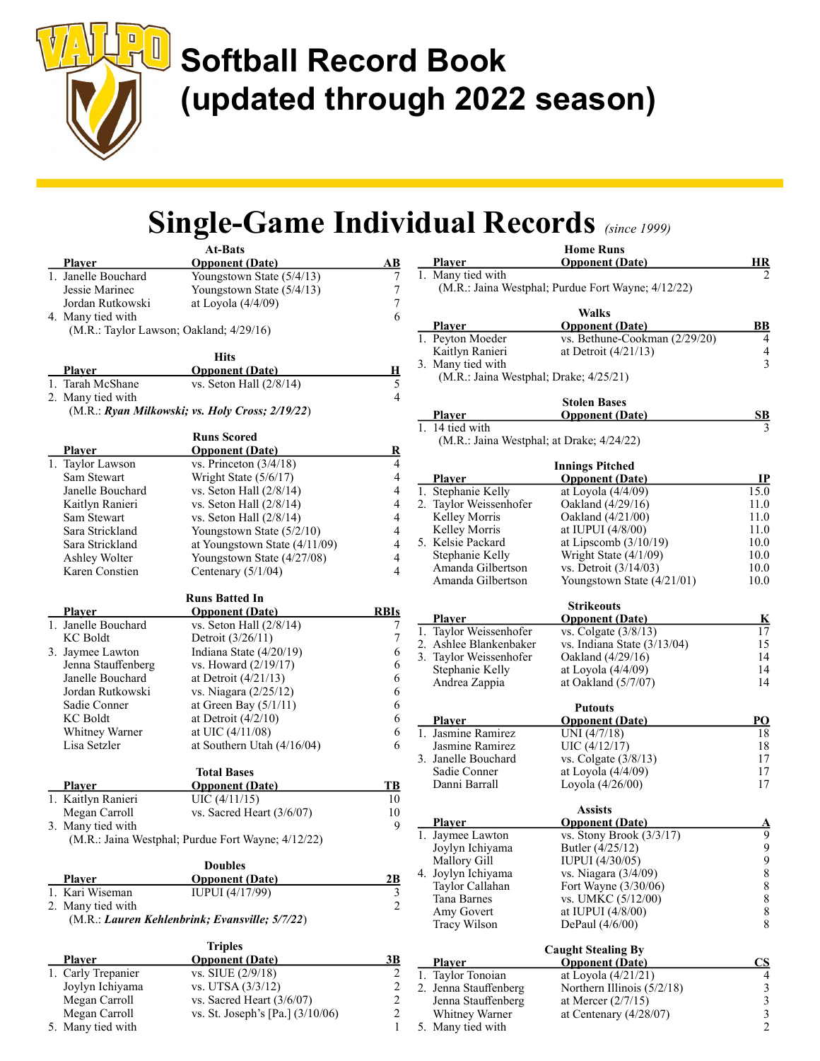

#### Single-Game Individual Records (since 1999) Home Runs

|                                         | <b>At-Bats</b>                                     |                         |                                  |
|-----------------------------------------|----------------------------------------------------|-------------------------|----------------------------------|
| <b>Player</b>                           | <b>Opponent</b> (Date)                             | AВ                      | <u>Plaver</u>                    |
| 1. Janelle Bouchard                     | Youngstown State (5/4/13)                          | 7                       | 1. Many tied with                |
| Jessie Marinec                          | Youngstown State (5/4/13)                          | $\tau$                  | (M.R.: Jaina Westp)              |
| Jordan Rutkowski                        | at Loyola (4/4/09)                                 | $\boldsymbol{7}$        |                                  |
| 4. Many tied with                       |                                                    | 6                       |                                  |
| (M.R.: Taylor Lawson; Oakland; 4/29/16) |                                                    |                         | <u>Player</u>                    |
|                                         |                                                    |                         | 1. Peyton Moeder                 |
|                                         | <b>Hits</b>                                        |                         | Kaitlyn Ranieri                  |
| <b>Player</b>                           | <b>Opponent (Date)</b>                             | Н                       | 3. Many tied with                |
| 1. Tarah McShane                        | vs. Seton Hall (2/8/14)                            | 5                       | (M.R.: Jaina Westp)              |
| 2. Many tied with                       |                                                    | $\overline{4}$          |                                  |
|                                         | (M.R.: Ryan Milkowski; vs. Holy Cross; 2/19/22)    |                         |                                  |
|                                         |                                                    |                         | <u>Plaver</u><br>1. 14 tied with |
|                                         | <b>Runs Scored</b>                                 |                         | (M.R.: Jaina Westp)              |
| <b>Player</b>                           | <b>Opponent (Date)</b>                             | $\overline{\mathbf{R}}$ |                                  |
| 1. Taylor Lawson                        | vs. Princeton $(3/4/18)$                           | 4                       |                                  |
| Sam Stewart                             | Wright State (5/6/17)                              | $\overline{4}$          | <b>Player</b>                    |
| Janelle Bouchard                        | vs. Seton Hall $(2/8/14)$                          | $\overline{4}$          | 1. Stephanie Kelly               |
| Kaitlyn Ranieri                         | vs. Seton Hall $(2/8/14)$                          | $\overline{4}$          | 2. Taylor Weissenhofer           |
| Sam Stewart                             | vs. Seton Hall $(2/8/14)$                          | $\overline{4}$          | Kelley Morris                    |
| Sara Strickland                         | Youngstown State (5/2/10)                          | 4                       | Kelley Morris                    |
| Sara Strickland                         | at Youngstown State (4/11/09)                      | 4                       | 5. Kelsie Packard                |
| Ashley Wolter                           | Youngstown State (4/27/08)                         | $\overline{4}$          | Stephanie Kelly                  |
| Karen Constien                          | Centenary (5/1/04)                                 | $\overline{4}$          | Amanda Gilbertson                |
|                                         |                                                    |                         | Amanda Gilbertson                |
|                                         | <b>Runs Batted In</b>                              |                         |                                  |
|                                         |                                                    | <b>RBIs</b>             |                                  |
| <b>Player</b><br>1. Janelle Bouchard    | <b>Opponent (Date)</b>                             |                         | <b>Player</b>                    |
| <b>KC</b> Boldt                         | vs. Seton Hall $(2/8/14)$                          | 7<br>$\boldsymbol{7}$   | 1. Taylor Weissenhofer           |
|                                         | Detroit (3/26/11)                                  |                         | 2. Ashlee Blankenbake            |
| 3. Jaymee Lawton                        | Indiana State (4/20/19)<br>vs. Howard (2/19/17)    | 6                       | 3. Taylor Weissenhofer           |
| Jenna Stauffenberg<br>Janelle Bouchard  |                                                    | 6                       | Stephanie Kelly                  |
| Jordan Rutkowski                        | at Detroit $(4/21/13)$                             | 6                       | Andrea Zappia                    |
|                                         | vs. Niagara (2/25/12)                              | 6                       |                                  |
| Sadie Conner                            | at Green Bay $(5/1/11)$                            | 6                       |                                  |
| <b>KC</b> Boldt                         | at Detroit $(4/2/10)$                              | 6                       | <u>Plaver</u>                    |
| Whitney Warner                          | at UIC (4/11/08)                                   | 6                       | 1. Jasmine Ramirez               |
| Lisa Setzler                            | at Southern Utah (4/16/04)                         | 6                       | Jasmine Ramirez                  |
|                                         |                                                    |                         | 3. Janelle Bouchard              |
|                                         | <b>Total Bases</b>                                 |                         | Sadie Conner<br>Danni Barrall    |
| <b>Player</b>                           | <b>Opponent</b> (Date)                             | TB                      |                                  |
| 1. Kaitlyn Ranieri                      | $UIC$ (4/11/15)                                    | 10                      |                                  |
| Megan Carroll                           | vs. Sacred Heart (3/6/07)                          | 10                      | <u>Player</u>                    |
| 3. Many tied with                       |                                                    | 9                       | 1. Jaymee Lawton                 |
|                                         | (M.R.: Jaina Westphal; Purdue Fort Wayne; 4/12/22) |                         | Joylyn Ichiyama                  |
|                                         |                                                    |                         | Mallory Gill                     |
|                                         | <b>Doubles</b>                                     |                         | 4. Joylyn Ichiyama               |
| <b>Player</b>                           | <b>Opponent</b> (Date)                             | 2B                      | Taylor Callahan                  |
| 1. Kari Wiseman                         | IUPUI (4/17/99)                                    | 3                       | Tana Barnes                      |
| 2. Many tied with                       |                                                    | $\overline{c}$          | Amy Govert                       |
|                                         | (M.R.: Lauren Kehlenbrink; Evansville; 5/7/22)     |                         | Tracy Wilson                     |
|                                         |                                                    |                         |                                  |
|                                         | <b>Triples</b>                                     |                         |                                  |
| Player                                  | <b>Opponent</b> (Date)                             | 3B                      | <b>Player</b>                    |
| 1. Carly Trepanier                      | vs. SIUE (2/9/18)                                  | $\overline{c}$          | 1. Taylor Tonoian                |
| Joylyn Ichiyama                         | vs. UTSA (3/3/12)                                  | $\sqrt{2}$              | 2. Jenna Stauffenberg            |
| Megan Carroll                           | vs. Sacred Heart $(3/6/07)$                        | $\sqrt{2}$              | Jenna Stauffenberg               |
| Megan Carroll                           | vs. St. Joseph's [Pa.] (3/10/06)                   | $\sqrt{2}$              | Whitney Warner                   |
| 5. Many tied with                       |                                                    | $\mathbf{1}$            | 5. Many tied with                |

| 1. Many tied with<br>(M.R.: Jaina Westphal; Purdue Fort Wayne; 4/12/22) |                                             |                                                 |
|-------------------------------------------------------------------------|---------------------------------------------|-------------------------------------------------|
| <b>Player</b>                                                           | Walks<br><b>Opponent</b> (Date)             | BB                                              |
| 1. Peyton Moeder                                                        | vs. Bethune-Cookman (2/29/20)               | 4                                               |
| Kaitlyn Ranieri                                                         | at Detroit $(4/21/13)$                      | 4                                               |
| 3. Many tied with                                                       |                                             | 3                                               |
| (M.R.: Jaina Westphal; Drake; 4/25/21)                                  |                                             |                                                 |
|                                                                         | <b>Stolen Bases</b>                         |                                                 |
| <u>Plaver</u>                                                           | <b>Opponent (Date)</b>                      | <u>SB</u>                                       |
| 1. 14 tied with<br>(M.R.: Jaina Westphal; at Drake; 4/24/22)            |                                             |                                                 |
|                                                                         | <b>Innings Pitched</b>                      |                                                 |
| <b>Player</b>                                                           | <u><b>Opponent (Date)</b></u>               | <u>IP</u>                                       |
| 1. Stephanie Kelly                                                      | at Loyola (4/4/09)                          | 15.0                                            |
| 2. Taylor Weissenhofer                                                  | Oakland (4/29/16)                           | 11.0                                            |
| Kelley Morris                                                           | Oakland (4/21/00)                           | 11.0                                            |
| Kelley Morris                                                           | at IUPUI $(4/8/00)$                         | 11.0                                            |
| 5. Kelsie Packard                                                       | at Lipscomb $(3/10/19)$                     | 10.0                                            |
| Stephanie Kelly                                                         | Wright State (4/1/09)                       | 10.0                                            |
| Amanda Gilbertson                                                       | vs. Detroit (3/14/03)                       | 10.0                                            |
| Amanda Gilbertson                                                       | Youngstown State (4/21/01)                  | 10.0                                            |
|                                                                         | <b>Strikeouts</b>                           |                                                 |
| <u>Player</u>                                                           | <b>Opponent (Date)</b>                      | <u>K</u>                                        |
| 1. Taylor Weissenhofer                                                  | vs. Colgate (3/8/13)                        | 17                                              |
| 2. Ashlee Blankenbaker                                                  | vs. Indiana State (3/13/04)                 | 15                                              |
| 3. Taylor Weissenhofer                                                  | Oakland (4/29/16)                           | 14                                              |
| Stephanie Kelly<br>Andrea Zappia                                        | at Loyola (4/4/09)<br>at Oakland $(5/7/07)$ | 14<br>14                                        |
|                                                                         |                                             |                                                 |
| <b>Player</b>                                                           | <b>Putouts</b>                              | <u>PO</u>                                       |
| 1. Jasmine Ramirez                                                      | <b>Opponent (Date)</b><br>UNI (4/7/18)      | 18                                              |
| Jasmine Ramirez                                                         | UIC (4/12/17)                               | 18                                              |
| 3. Janelle Bouchard                                                     | vs. Colgate $(3/8/13)$                      | 17                                              |
| Sadie Conner                                                            | at Loyola (4/4/09)                          | 17                                              |
| Danni Barrall                                                           | Loyola (4/26/00)                            | $17\,$                                          |
|                                                                         | <b>Assists</b>                              |                                                 |
| <u>Player</u>                                                           | <b>Opponent (Date)</b>                      | <u>A</u>                                        |
| 1. Jaymee Lawton                                                        | vs. Stony Brook $(3/3/17)$                  | 9                                               |
| Joylyn Ichiyama                                                         | Butler (4/25/12)                            | 9<br>9                                          |
| Mallory Gill                                                            | IUPUI (4/30/05)                             |                                                 |
| 4. Joylyn Ichiyama                                                      | vs. Niagara (3/4/09)                        | $\,8\,$                                         |
| Taylor Callahan                                                         | Fort Wayne (3/30/06)                        | 8                                               |
| Tana Barnes                                                             | vs. UMKC (5/12/00)                          | 8                                               |
| Amy Govert                                                              | at IUPUI (4/8/00)                           | $\,$ 8 $\,$                                     |
| Tracy Wilson                                                            | DePaul (4/6/00)                             | 8                                               |
|                                                                         | <b>Caught Stealing By</b>                   |                                                 |
| <u>Plaver</u>                                                           | <b>Opponent (Date)</b>                      | <u>CS</u>                                       |
| 1. Taylor Tonoian                                                       | at Loyola (4/21/21)                         | 4                                               |
| 2. Jenna Stauffenberg                                                   | Northern Illinois $(5/2/18)$                |                                                 |
| Jenna Stauffenberg                                                      | at Mercer $(2/7/15)$                        |                                                 |
| Whitney Warner                                                          | at Centenary $(4/28/07)$                    | $\begin{array}{c} 3 \\ 3 \\ 3 \\ 2 \end{array}$ |
| 5. Many tied with                                                       |                                             |                                                 |

**Opponent (Date)** HR